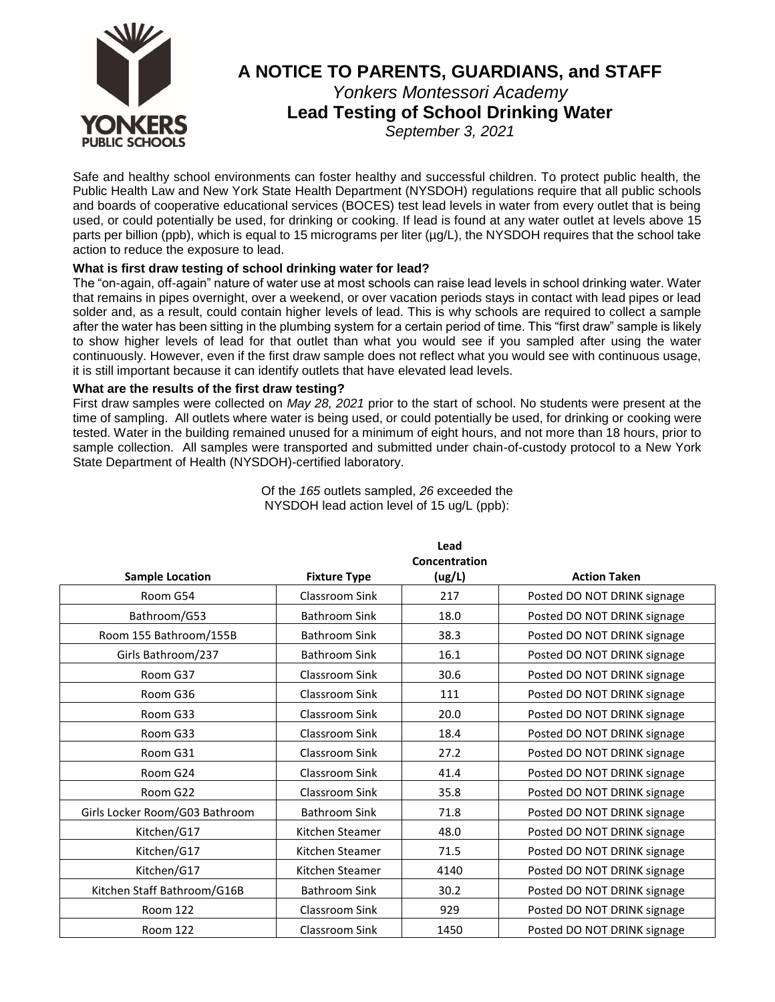

# **A NOTICE TO PARENTS, GUARDIANS, and STAFF** *Yonkers Montessori Academy*

**Lead Testing of School Drinking Water** 

*September 3, 2021*

Safe and healthy school environments can foster healthy and successful children. To protect public health, the Public Health Law and New York State Health Department (NYSDOH) regulations require that all public schools and boards of cooperative educational services (BOCES) test lead levels in water from every outlet that is being used, or could potentially be used, for drinking or cooking. If lead is found at any water outlet at levels above 15 parts per billion (ppb), which is equal to 15 micrograms per liter (µg/L), the NYSDOH requires that the school take action to reduce the exposure to lead.

### **What is first draw testing of school drinking water for lead?**

The "on-again, off-again" nature of water use at most schools can raise lead levels in school drinking water. Water that remains in pipes overnight, over a weekend, or over vacation periods stays in contact with lead pipes or lead solder and, as a result, could contain higher levels of lead. This is why schools are required to collect a sample after the water has been sitting in the plumbing system for a certain period of time. This "first draw" sample is likely to show higher levels of lead for that outlet than what you would see if you sampled after using the water continuously. However, even if the first draw sample does not reflect what you would see with continuous usage, it is still important because it can identify outlets that have elevated lead levels.

### **What are the results of the first draw testing?**

First draw samples were collected on *May 28, 2021* prior to the start of school. No students were present at the time of sampling. All outlets where water is being used, or could potentially be used, for drinking or cooking were tested. Water in the building remained unused for a minimum of eight hours, and not more than 18 hours, prior to sample collection. All samples were transported and submitted under chain-of-custody protocol to a New York State Department of Health (NYSDOH)-certified laboratory.

|                                |                      | Lead<br>Concentration |                             |
|--------------------------------|----------------------|-----------------------|-----------------------------|
| <b>Sample Location</b>         | <b>Fixture Type</b>  | (ug/L)                | <b>Action Taken</b>         |
| Room G54                       | Classroom Sink       | 217                   | Posted DO NOT DRINK signage |
| Bathroom/G53                   | <b>Bathroom Sink</b> | 18.0                  | Posted DO NOT DRINK signage |
| Room 155 Bathroom/155B         | <b>Bathroom Sink</b> | 38.3                  | Posted DO NOT DRINK signage |
| Girls Bathroom/237             | Bathroom Sink        | 16.1                  | Posted DO NOT DRINK signage |
| Room G37                       | Classroom Sink       | 30.6                  | Posted DO NOT DRINK signage |
| Room G36                       | Classroom Sink       | 111                   | Posted DO NOT DRINK signage |
| Room G33                       | Classroom Sink       | 20.0                  | Posted DO NOT DRINK signage |
| Room G33                       | Classroom Sink       | 18.4                  | Posted DO NOT DRINK signage |
| Room G31                       | Classroom Sink       | 27.2                  | Posted DO NOT DRINK signage |
| Room G24                       | Classroom Sink       | 41.4                  | Posted DO NOT DRINK signage |
| Room G22                       | Classroom Sink       | 35.8                  | Posted DO NOT DRINK signage |
| Girls Locker Room/G03 Bathroom | <b>Bathroom Sink</b> | 71.8                  | Posted DO NOT DRINK signage |
| Kitchen/G17                    | Kitchen Steamer      | 48.0                  | Posted DO NOT DRINK signage |
| Kitchen/G17                    | Kitchen Steamer      | 71.5                  | Posted DO NOT DRINK signage |
| Kitchen/G17                    | Kitchen Steamer      | 4140                  | Posted DO NOT DRINK signage |
| Kitchen Staff Bathroom/G16B    | <b>Bathroom Sink</b> | 30.2                  | Posted DO NOT DRINK signage |
| <b>Room 122</b>                | Classroom Sink       | 929                   | Posted DO NOT DRINK signage |
| Room 122                       | Classroom Sink       | 1450                  | Posted DO NOT DRINK signage |

Of the *165* outlets sampled, *26* exceeded the NYSDOH lead action level of 15 ug/L (ppb):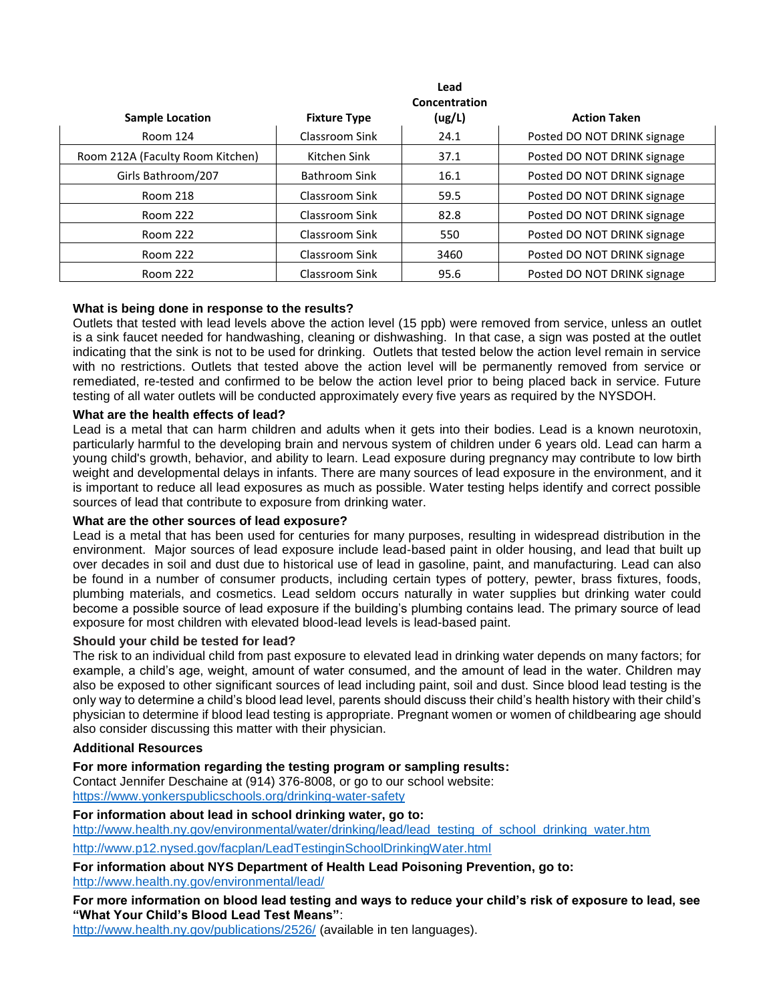|                                  | Lead<br>Concentration |        |                             |  |
|----------------------------------|-----------------------|--------|-----------------------------|--|
| <b>Sample Location</b>           | <b>Fixture Type</b>   | (ug/L) | <b>Action Taken</b>         |  |
| Room 124                         | Classroom Sink        | 24.1   | Posted DO NOT DRINK signage |  |
| Room 212A (Faculty Room Kitchen) | Kitchen Sink          | 37.1   | Posted DO NOT DRINK signage |  |
| Girls Bathroom/207               | Bathroom Sink         | 16.1   | Posted DO NOT DRINK signage |  |
| <b>Room 218</b>                  | Classroom Sink        | 59.5   | Posted DO NOT DRINK signage |  |
| Room 222                         | Classroom Sink        | 82.8   | Posted DO NOT DRINK signage |  |
| Room 222                         | Classroom Sink        | 550    | Posted DO NOT DRINK signage |  |
| Room 222                         | Classroom Sink        | 3460   | Posted DO NOT DRINK signage |  |
| Room 222                         | Classroom Sink        | 95.6   | Posted DO NOT DRINK signage |  |

### **What is being done in response to the results?**

Outlets that tested with lead levels above the action level (15 ppb) were removed from service, unless an outlet is a sink faucet needed for handwashing, cleaning or dishwashing. In that case, a sign was posted at the outlet indicating that the sink is not to be used for drinking. Outlets that tested below the action level remain in service with no restrictions. Outlets that tested above the action level will be permanently removed from service or remediated, re-tested and confirmed to be below the action level prior to being placed back in service. Future testing of all water outlets will be conducted approximately every five years as required by the NYSDOH.

### **What are the health effects of lead?**

Lead is a metal that can harm children and adults when it gets into their bodies. Lead is a known neurotoxin, particularly harmful to the developing brain and nervous system of children under 6 years old. Lead can harm a young child's growth, behavior, and ability to learn. Lead exposure during pregnancy may contribute to low birth weight and developmental delays in infants. There are many sources of lead exposure in the environment, and it is important to reduce all lead exposures as much as possible. Water testing helps identify and correct possible sources of lead that contribute to exposure from drinking water.

### **What are the other sources of lead exposure?**

Lead is a metal that has been used for centuries for many purposes, resulting in widespread distribution in the environment. Major sources of lead exposure include lead-based paint in older housing, and lead that built up over decades in soil and dust due to historical use of lead in gasoline, paint, and manufacturing. Lead can also be found in a number of consumer products, including certain types of pottery, pewter, brass fixtures, foods, plumbing materials, and cosmetics. Lead seldom occurs naturally in water supplies but drinking water could become a possible source of lead exposure if the building's plumbing contains lead. The primary source of lead exposure for most children with elevated blood-lead levels is lead-based paint.

### **Should your child be tested for lead?**

The risk to an individual child from past exposure to elevated lead in drinking water depends on many factors; for example, a child's age, weight, amount of water consumed, and the amount of lead in the water. Children may also be exposed to other significant sources of lead including paint, soil and dust. Since blood lead testing is the only way to determine a child's blood lead level, parents should discuss their child's health history with their child's physician to determine if blood lead testing is appropriate. Pregnant women or women of childbearing age should also consider discussing this matter with their physician.

### **Additional Resources**

**For more information regarding the testing program or sampling results:**

Contact Jennifer Deschaine at (914) 376-8008, or go to our school website: <https://www.yonkerspublicschools.org/drinking-water-safety>

### **For information about lead in school drinking water, go to:**

[http://www.health.ny.gov/environmental/water/drinking/lead/lead\\_testing\\_of\\_school\\_drinking\\_water.htm](http://www.health.ny.gov/environmental/water/drinking/lead/lead_testing_of_school_drinking_water.htm)

<http://www.p12.nysed.gov/facplan/LeadTestinginSchoolDrinkingWater.html>

# **For information about NYS Department of Health Lead Poisoning Prevention, go to:**

<http://www.health.ny.gov/environmental/lead/>

**For more information on blood lead testing and ways to reduce your child's risk of exposure to lead, see "What Your Child's Blood Lead Test Means"**:

<http://www.health.ny.gov/publications/2526/> (available in ten languages).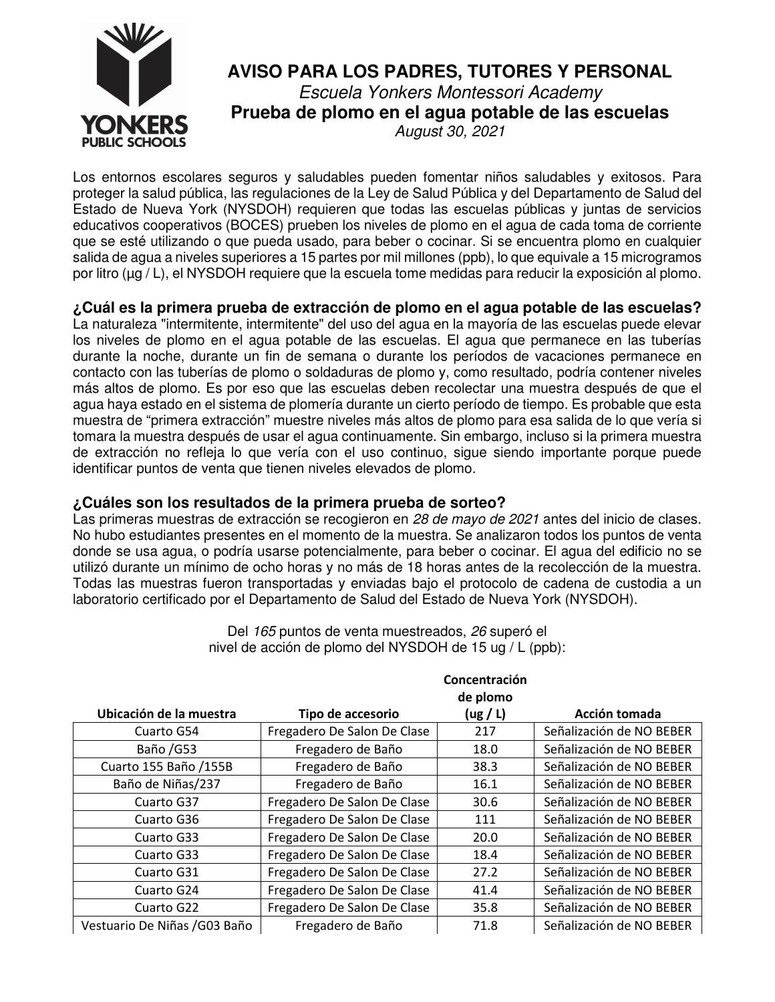

# **AVISO PARA LOS PADRES, TUTORES Y PERSONAL**  Escuela Yonkers Montessori Academy **Prueba de plomo en el agua potable de las escuelas**  August 30, 2021

Los entornos escolares seguros y saludables pueden fomentar niños saludables y exitosos. Para proteger la salud pública, las regulaciones de la Ley de Salud Pública y del Departamento de Salud del Estado de Nueva York (NYSDOH) requieren que todas las escuelas públicas y juntas de servicios educativos cooperativos (BOCES) prueben los niveles de plomo en el agua de cada toma de corriente que se esté utilizando o que pueda usado, para beber o cocinar. Si se encuentra plomo en cualquier salida de agua a niveles superiores a 15 partes por mil millones (ppb), lo que equivale a 15 microgramos por litro (µg / L), el NYSDOH requiere que la escuela tome medidas para reducir la exposición al plomo.

**¿Cuál es la primera prueba de extracción de plomo en el agua potable de las escuelas?**  La naturaleza "intermitente, intermitente" del uso del agua en la mayoría de las escuelas puede elevar los niveles de plomo en el agua potable de las escuelas. El agua que permanece en las tuberías durante la noche, durante un fin de semana o durante los períodos de vacaciones permanece en contacto con las tuberías de plomo o soldaduras de plomo y, como resultado, podría contener niveles más altos de plomo. Es por eso que las escuelas deben recolectar una muestra después de que el agua haya estado en el sistema de plomería durante un cierto período de tiempo. Es probable que esta muestra de "primera extracción" muestre niveles más altos de plomo para esa salida de lo que vería si tomara la muestra después de usar el agua continuamente. Sin embargo, incluso si la primera muestra de extracción no refleja lo que vería con el uso continuo, sigue siendo importante porque puede identificar puntos de venta que tienen niveles elevados de plomo.

# **¿Cuáles son los resultados de la primera prueba de sorteo?**

Las primeras muestras de extracción se recogieron en 28 de mayo de 2021 antes del inicio de clases. No hubo estudiantes presentes en el momento de la muestra. Se analizaron todos los puntos de venta donde se usa agua, o podría usarse potencialmente, para beber o cocinar. El agua del edificio no se utilizó durante un mínimo de ocho horas y no más de 18 horas antes de la recolección de la muestra. Todas las muestras fueron transportadas y enviadas bajo el protocolo de cadena de custodia a un laboratorio certificado por el Departamento de Salud del Estado de Nueva York (NYSDOH).

|                               |                             | de plomo |                          |  |
|-------------------------------|-----------------------------|----------|--------------------------|--|
| Ubicación de la muestra       | Tipo de accesorio           | (ug / L) | Acción tomada            |  |
| Cuarto G54                    | Fregadero De Salon De Clase | 217      | Señalización de NO BEBER |  |
| Baño / G53                    | Fregadero de Baño           | 18.0     | Señalización de NO BEBER |  |
| Cuarto 155 Baño /155B         | Fregadero de Baño           | 38.3     | Señalización de NO BEBER |  |
| Baño de Niñas/237             | Fregadero de Baño           | 16.1     | Señalización de NO BEBER |  |
| Cuarto G37                    | Fregadero De Salon De Clase | 30.6     | Señalización de NO BEBER |  |
| Cuarto G36                    | Fregadero De Salon De Clase | 111      | Señalización de NO BEBER |  |
| Cuarto G33                    | Fregadero De Salon De Clase | 20.0     | Señalización de NO BEBER |  |
| Cuarto G33                    | Fregadero De Salon De Clase | 18.4     | Señalización de NO BEBER |  |
| Cuarto G31                    | Fregadero De Salon De Clase | 27.2     | Señalización de NO BEBER |  |
| Cuarto G24                    | Fregadero De Salon De Clase | 41.4     | Señalización de NO BEBER |  |
| Cuarto G22                    | Fregadero De Salon De Clase | 35.8     | Señalización de NO BEBER |  |
| Vestuario De Niñas / G03 Baño | Fregadero de Baño           | 71.8     | Señalización de NO BEBER |  |

Del 165 puntos de venta muestreados, 26 superó el nivel de acción de plomo del NYSDOH de 15 ug / L (ppb):

**Concentración**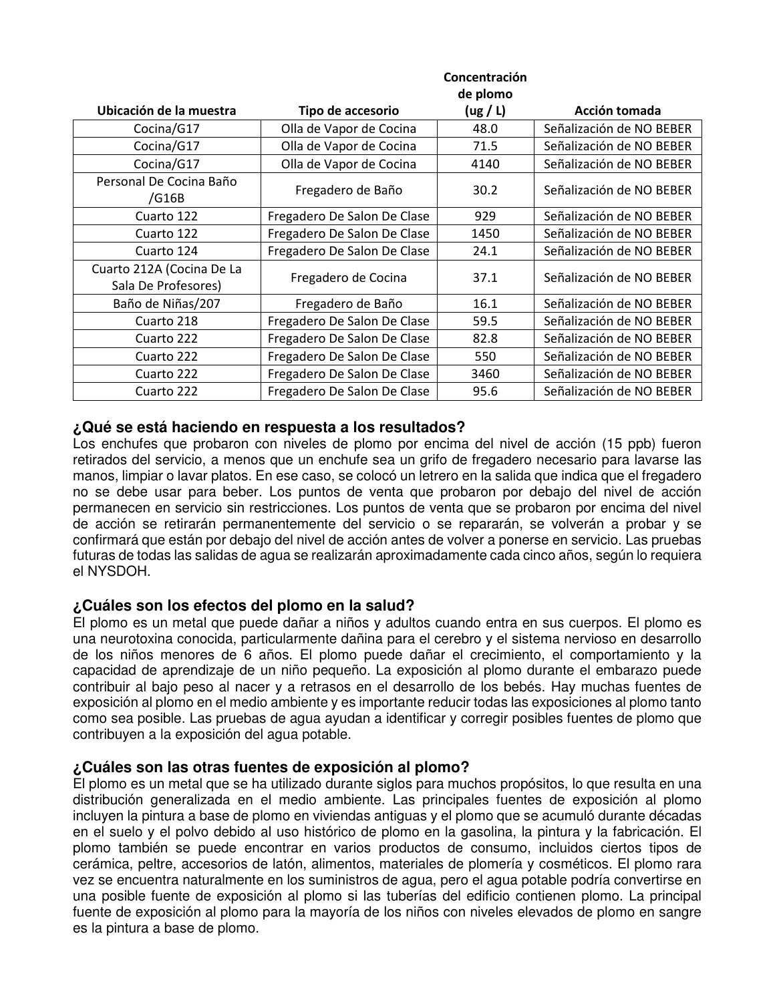|                                                  | Concentración               |          |                          |  |
|--------------------------------------------------|-----------------------------|----------|--------------------------|--|
|                                                  | de plomo                    |          |                          |  |
| Ubicación de la muestra                          | Tipo de accesorio           | (ug / L) | Acción tomada            |  |
| Cocina/G17                                       | Olla de Vapor de Cocina     | 48.0     | Señalización de NO BEBER |  |
| Cocina/G17                                       | Olla de Vapor de Cocina     | 71.5     | Señalización de NO BEBER |  |
| Cocina/G17                                       | Olla de Vapor de Cocina     | 4140     | Señalización de NO BEBER |  |
| Personal De Cocina Baño<br>/G16B                 | Fregadero de Baño           | 30.2     | Señalización de NO BEBER |  |
| Cuarto 122                                       | Fregadero De Salon De Clase | 929      | Señalización de NO BEBER |  |
| Cuarto 122                                       | Fregadero De Salon De Clase | 1450     | Señalización de NO BEBER |  |
| Cuarto 124                                       | Fregadero De Salon De Clase | 24.1     | Señalización de NO BEBER |  |
| Cuarto 212A (Cocina De La<br>Sala De Profesores) | Fregadero de Cocina         | 37.1     | Señalización de NO BEBER |  |
| Baño de Niñas/207                                | Fregadero de Baño           | 16.1     | Señalización de NO BEBER |  |
| Cuarto 218                                       | Fregadero De Salon De Clase | 59.5     | Señalización de NO BEBER |  |
| Cuarto 222                                       | Fregadero De Salon De Clase | 82.8     | Señalización de NO BEBER |  |
| Cuarto 222                                       | Fregadero De Salon De Clase | 550      | Señalización de NO BEBER |  |
| Cuarto 222                                       | Fregadero De Salon De Clase | 3460     | Señalización de NO BEBER |  |
| Cuarto 222                                       | Fregadero De Salon De Clase | 95.6     | Señalización de NO BEBER |  |

### **¿Qué se está haciendo en respuesta a los resultados?**

Los enchufes que probaron con niveles de plomo por encima del nivel de acción (15 ppb) fueron retirados del servicio, a menos que un enchufe sea un grifo de fregadero necesario para lavarse las manos, limpiar o lavar platos. En ese caso, se colocó un letrero en la salida que indica que el fregadero no se debe usar para beber. Los puntos de venta que probaron por debajo del nivel de acción permanecen en servicio sin restricciones. Los puntos de venta que se probaron por encima del nivel de acción se retirarán permanentemente del servicio o se repararán, se volverán a probar y se confirmará que están por debajo del nivel de acción antes de volver a ponerse en servicio. Las pruebas futuras de todas las salidas de agua se realizarán aproximadamente cada cinco años, según lo requiera el NYSDOH.

### **¿Cuáles son los efectos del plomo en la salud?**

El plomo es un metal que puede dañar a niños y adultos cuando entra en sus cuerpos. El plomo es una neurotoxina conocida, particularmente dañina para el cerebro y el sistema nervioso en desarrollo de los niños menores de 6 años. El plomo puede dañar el crecimiento, el comportamiento y la capacidad de aprendizaje de un niño pequeño. La exposición al plomo durante el embarazo puede contribuir al bajo peso al nacer y a retrasos en el desarrollo de los bebés. Hay muchas fuentes de exposición al plomo en el medio ambiente y es importante reducir todas las exposiciones al plomo tanto como sea posible. Las pruebas de agua ayudan a identificar y corregir posibles fuentes de plomo que contribuyen a la exposición del agua potable.

# **¿Cuáles son las otras fuentes de exposición al plomo?**

El plomo es un metal que se ha utilizado durante siglos para muchos propósitos, lo que resulta en una distribución generalizada en el medio ambiente. Las principales fuentes de exposición al plomo incluyen la pintura a base de plomo en viviendas antiguas y el plomo que se acumuló durante décadas en el suelo y el polvo debido al uso histórico de plomo en la gasolina, la pintura y la fabricación. El plomo también se puede encontrar en varios productos de consumo, incluidos ciertos tipos de cerámica, peltre, accesorios de latón, alimentos, materiales de plomería y cosméticos. El plomo rara vez se encuentra naturalmente en los suministros de agua, pero el agua potable podría convertirse en una posible fuente de exposición al plomo si las tuberías del edificio contienen plomo. La principal fuente de exposición al plomo para la mayoría de los niños con niveles elevados de plomo en sangre es la pintura a base de plomo.